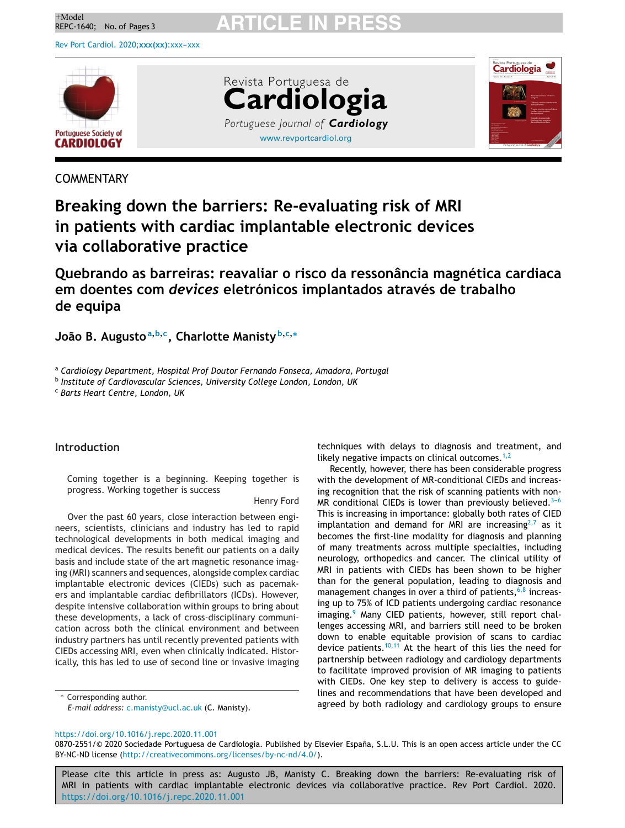<sup>+Model</sup><br>REPC-1640; No. of Pages 3 **ARTICLE IN PRESS** 

Rev Port Cardiol. 2020; xxx(xx): xxx-xxx



[www.revportcardiol.org](http://www.revportcardiol.org) Revista Portuguesa de **Cardiologia** *Portuguese Journal of Cardiology*



# **COMMENTARY**

# **Breaking down the barriers: Re-evaluating risk of MRI in patients with cardiac implantable electronic devices via collaborative practice**

**Quebrando as barreiras: reavaliar o risco da ressonância magnética cardiaca em doentes com** *devices* **eletrónicos implantados através de trabalho de equipa**

**João B. Augusto<sup>a</sup>,b,c, Charlotte Manisty <sup>b</sup>,c,<sup>∗</sup>**

<sup>a</sup> *Cardiology Department, Hospital Prof Doutor Fernando Fonseca, Amadora, Portugal*

<sup>b</sup> *Institute of Cardiovascular Sciences, University College London, London, UK*

<sup>c</sup> *Barts Heart Centre, London, UK*

## **Introduction**

Coming together is a beginning. Keeping together is progress. Working together is success

Henry Ford

Over the past 60 years, close interaction between engineers, scientists, clinicians and industry has led to rapid technological developments in both medical imaging and medical devices. The results benefit our patients on a daily basis and include state of the art magnetic resonance imaging (MRI) scanners and sequences, alongside complex cardiac implantable electronic devices (CIEDs) such as pacemakers and implantable cardiac defibrillators (ICDs). However, despite intensive collaboration within groups to bring about these developments, a lack of cross-disciplinary communication across both the clinical environment and between industry partners has until recently prevented patients with CIEDs accessing MRI, even when clinically indicated. Historically, this has led to use of second line or invasive imaging

Corresponding author. *E-mail address:* [c.manisty@ucl.ac.uk](mailto:c.manisty@ucl.ac.uk) (C. Manisty). techniques with delays to diagnosis and treatment, and likely negative impacts on clinical outcomes. $1,2$ 

Recently, however, there has been considerable progress with the development of MR-conditional CIEDs and increasing recognition that the risk of scanning patients with non-MR conditional CIEDs is lower than previously believed. $3-6$ This is increasing in importance: globally both rates of CIED implantation and demand for MRI are increasing<sup>[2,7](#page-1-0)</sup> as it becomes the first-line modality for diagnosis and planning of many treatments across multiple specialties, including neurology, orthopedics and cancer. The clinical utility of MRI in patients with CIEDs has been shown to be higher than for the general population, leading to diagnosis and management changes in over a third of patients,  $6,8$  increasing up to 75% of ICD patients undergoing cardiac resonance imaging.<sup>[9](#page-2-0)</sup> Many CIED patients, however, still report challenges accessing MRI, and barriers still need to be broken down to enable equitable provision of scans to cardiac device patients.<sup>[10,11](#page-2-0)</sup> At the heart of this lies the need for partnership between radiology and cardiology departments to facilitate improved provision of MR imaging to patients with CIEDs. One key step to delivery is access to guidelines and recommendations that have been developed and agreed by both radiology and cardiology groups to ensure

<https://doi.org/10.1016/j.repc.2020.11.001>

0870-2551/© 2020 Sociedade Portuguesa de Cardiologia. Published by Elsevier España, S.L.U. This is an open access article under the CC BY-NC-ND license (<http://creativecommons.org/licenses/by-nc-nd/4.0/>).

Please cite this article in press as: Augusto JB, Manisty C. Breaking down the barriers: Re-evaluating risk of MRI in patients with cardiac implantable electronic devices via collaborative practice. Rev Port Cardiol. 2020. <https://doi.org/10.1016/j.repc.2020.11.001>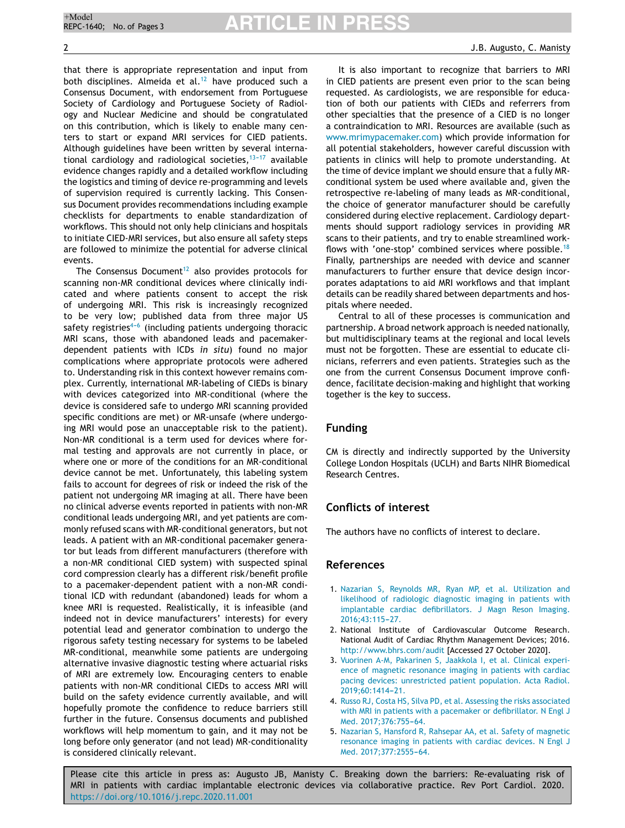that there is appropriate representation and input from both disciplines. Almeida et al.<sup>[12](#page-2-0)</sup> have produced such a Consensus Document, with endorsement from Portuguese Society of Cardiology and Portuguese Society of Radiology and Nuclear Medicine and should be congratulated on this contribution, which is likely to enable many centers to start or expand MRI services for CIED patients. Although guidelines have been written by several international cardiology and radiological societies,  $13-17$  available evidence changes rapidly and a detailed workflow including the logistics and timing of device re-programming and levels of supervision required is currently lacking. This Consensus Document provides recommendations including example checklists for departments to enable standardization of workflows. This should not only help clinicians and hospitals to initiate CIED-MRI services, but also ensure all safety steps are followed to minimize the potential for adverse clinical events.

The Consensus Document<sup>[12](#page-2-0)</sup> also provides protocols for scanning non-MR conditional devices where clinically indicated and where patients consent to accept the risk of undergoing MRI. This risk is increasingly recognized to be very low; published data from three major US safety registries<sup> $4-6$ </sup> (including patients undergoing thoracic MRI scans, those with abandoned leads and pacemakerdependent patients with ICDs *in situ*) found no major complications where appropriate protocols were adhered to. Understanding risk in this context however remains complex. Currently, international MR-labeling of CIEDs is binary with devices categorized into MR-conditional (where the device is considered safe to undergo MRI scanning provided specific conditions are met) or MR-unsafe (where undergoing MRI would pose an unacceptable risk to the patient). Non-MR conditional is a term used for devices where formal testing and approvals are not currently in place, or where one or more of the conditions for an MR-conditional device cannot be met. Unfortunately, this labeling system fails to account for degrees of risk or indeed the risk of the patient not undergoing MR imaging at all. There have been no clinical adverse events reported in patients with non-MR conditional leads undergoing MRI, and yet patients are commonly refused scans with MR-conditional generators, but not leads. A patient with an MR-conditional pacemaker generator but leads from different manufacturers (therefore with a non-MR conditional CIED system) with suspected spinal cord compression clearly has a different risk/benefit profile to a pacemaker-dependent patient with a non-MR conditional ICD with redundant (abandoned) leads for whom a knee MRI is requested. Realistically, it is infeasible (and indeed not in device manufacturers' interests) for every potential lead and generator combination to undergo the rigorous safety testing necessary for systems to be labeled MR-conditional, meanwhile some patients are undergoing alternative invasive diagnostic testing where actuarial risks of MRI are extremely low. Encouraging centers to enable patients with non-MR conditional CIEDs to access MRI will build on the safety evidence currently available, and will hopefully promote the confidence to reduce barriers still further in the future. Consensus documents and published workflows will help momentum to gain, and it may not be long before only generator (and not lead) MR-conditionality is considered clinically relevant.

It is also important to recognize that barriers to MRI in CIED patients are present even prior to the scan being requested. As cardiologists, we are responsible for education of both our patients with CIEDs and referrers from other specialties that the presence of a CIED is no longer a contraindication to MRI. Resources are available (such as [www.mrimypacemaker.com](http://www.mrimypacemaker.com/)) which provide information for all potential stakeholders, however careful discussion with patients in clinics will help to promote understanding. At the time of device implant we should ensure that a fully MRconditional system be used where available and, given the retrospective re-labeling of many leads as MR-conditional, the choice of generator manufacturer should be carefully considered during elective replacement. Cardiology departments should support radiology services in providing MR scans to their patients, and try to enable streamlined workflows with 'one-stop' combined services where possible.[18](#page-2-0) Finally, partnerships are needed with device and scanner manufacturers to further ensure that device design incorporates adaptations to aid MRI workflows and that implant details can be readily shared between departments and hospitals where needed.

Central to all of these processes is communication and partnership. A broad network approach is needed nationally, but multidisciplinary teams at the regional and local levels must not be forgotten. These are essential to educate clinicians, referrers and even patients. Strategies such as the one from the current Consensus Document improve confidence, facilitate decision-making and highlight that working together is the key to success.

## **Funding**

CM is directly and indirectly supported by the University College London Hospitals (UCLH) and Barts NIHR Biomedical Research Centres.

# **Conflicts of interest**

The authors have no conflicts of interest to declare.

## **References**

- 1. [Nazarian](http://refhub.elsevier.com/S0870-2551(20)30458-3/sbref0095) [S,](http://refhub.elsevier.com/S0870-2551(20)30458-3/sbref0095) [Reynolds](http://refhub.elsevier.com/S0870-2551(20)30458-3/sbref0095) [MR,](http://refhub.elsevier.com/S0870-2551(20)30458-3/sbref0095) [Ryan](http://refhub.elsevier.com/S0870-2551(20)30458-3/sbref0095) [MP,](http://refhub.elsevier.com/S0870-2551(20)30458-3/sbref0095) [et](http://refhub.elsevier.com/S0870-2551(20)30458-3/sbref0095) [al.](http://refhub.elsevier.com/S0870-2551(20)30458-3/sbref0095) [Utilization](http://refhub.elsevier.com/S0870-2551(20)30458-3/sbref0095) [and](http://refhub.elsevier.com/S0870-2551(20)30458-3/sbref0095) [likelihood](http://refhub.elsevier.com/S0870-2551(20)30458-3/sbref0095) [of](http://refhub.elsevier.com/S0870-2551(20)30458-3/sbref0095) [radiologic](http://refhub.elsevier.com/S0870-2551(20)30458-3/sbref0095) [diagnostic](http://refhub.elsevier.com/S0870-2551(20)30458-3/sbref0095) [imaging](http://refhub.elsevier.com/S0870-2551(20)30458-3/sbref0095) [in](http://refhub.elsevier.com/S0870-2551(20)30458-3/sbref0095) [patients](http://refhub.elsevier.com/S0870-2551(20)30458-3/sbref0095) [with](http://refhub.elsevier.com/S0870-2551(20)30458-3/sbref0095) [implantable](http://refhub.elsevier.com/S0870-2551(20)30458-3/sbref0095) [cardiac](http://refhub.elsevier.com/S0870-2551(20)30458-3/sbref0095) [defibrillators.](http://refhub.elsevier.com/S0870-2551(20)30458-3/sbref0095) [J](http://refhub.elsevier.com/S0870-2551(20)30458-3/sbref0095) [Magn](http://refhub.elsevier.com/S0870-2551(20)30458-3/sbref0095) [Reson](http://refhub.elsevier.com/S0870-2551(20)30458-3/sbref0095) [Imaging.](http://refhub.elsevier.com/S0870-2551(20)30458-3/sbref0095) [2016;43:115](http://refhub.elsevier.com/S0870-2551(20)30458-3/sbref0095)-[27.](http://refhub.elsevier.com/S0870-2551(20)30458-3/sbref0095)
- 2. National Institute of Cardiovascular Outcome Research. National Audit of Cardiac Rhythm Management Devices; 2016. <http://www.bhrs.com/audit> [Accessed 27 October 2020].
- 3. [Vuorinen](http://refhub.elsevier.com/S0870-2551(20)30458-3/sbref0105) [A-M,](http://refhub.elsevier.com/S0870-2551(20)30458-3/sbref0105) [Pakarinen](http://refhub.elsevier.com/S0870-2551(20)30458-3/sbref0105) [S,](http://refhub.elsevier.com/S0870-2551(20)30458-3/sbref0105) [Jaakkola](http://refhub.elsevier.com/S0870-2551(20)30458-3/sbref0105) [I,](http://refhub.elsevier.com/S0870-2551(20)30458-3/sbref0105) [et](http://refhub.elsevier.com/S0870-2551(20)30458-3/sbref0105) [al.](http://refhub.elsevier.com/S0870-2551(20)30458-3/sbref0105) [Clinical](http://refhub.elsevier.com/S0870-2551(20)30458-3/sbref0105) [experi](http://refhub.elsevier.com/S0870-2551(20)30458-3/sbref0105)[ence](http://refhub.elsevier.com/S0870-2551(20)30458-3/sbref0105) [of](http://refhub.elsevier.com/S0870-2551(20)30458-3/sbref0105) [magnetic](http://refhub.elsevier.com/S0870-2551(20)30458-3/sbref0105) [resonance](http://refhub.elsevier.com/S0870-2551(20)30458-3/sbref0105) [imaging](http://refhub.elsevier.com/S0870-2551(20)30458-3/sbref0105) [in](http://refhub.elsevier.com/S0870-2551(20)30458-3/sbref0105) [patients](http://refhub.elsevier.com/S0870-2551(20)30458-3/sbref0105) [with](http://refhub.elsevier.com/S0870-2551(20)30458-3/sbref0105) [cardiac](http://refhub.elsevier.com/S0870-2551(20)30458-3/sbref0105) [pacing](http://refhub.elsevier.com/S0870-2551(20)30458-3/sbref0105) [devices:](http://refhub.elsevier.com/S0870-2551(20)30458-3/sbref0105) [unrestricted](http://refhub.elsevier.com/S0870-2551(20)30458-3/sbref0105) [patient](http://refhub.elsevier.com/S0870-2551(20)30458-3/sbref0105) [population.](http://refhub.elsevier.com/S0870-2551(20)30458-3/sbref0105) [Acta](http://refhub.elsevier.com/S0870-2551(20)30458-3/sbref0105) [Radiol.](http://refhub.elsevier.com/S0870-2551(20)30458-3/sbref0105) 2019:60:1414-21.
- 4. [Russo](http://refhub.elsevier.com/S0870-2551(20)30458-3/sbref0110) [RJ,](http://refhub.elsevier.com/S0870-2551(20)30458-3/sbref0110) [Costa](http://refhub.elsevier.com/S0870-2551(20)30458-3/sbref0110) [HS,](http://refhub.elsevier.com/S0870-2551(20)30458-3/sbref0110) [Silva](http://refhub.elsevier.com/S0870-2551(20)30458-3/sbref0110) [PD,](http://refhub.elsevier.com/S0870-2551(20)30458-3/sbref0110) [et](http://refhub.elsevier.com/S0870-2551(20)30458-3/sbref0110) [al.](http://refhub.elsevier.com/S0870-2551(20)30458-3/sbref0110) [Assessing](http://refhub.elsevier.com/S0870-2551(20)30458-3/sbref0110) [the](http://refhub.elsevier.com/S0870-2551(20)30458-3/sbref0110) [risks](http://refhub.elsevier.com/S0870-2551(20)30458-3/sbref0110) [associated](http://refhub.elsevier.com/S0870-2551(20)30458-3/sbref0110) [with](http://refhub.elsevier.com/S0870-2551(20)30458-3/sbref0110) [MRI](http://refhub.elsevier.com/S0870-2551(20)30458-3/sbref0110) [in](http://refhub.elsevier.com/S0870-2551(20)30458-3/sbref0110) [patients](http://refhub.elsevier.com/S0870-2551(20)30458-3/sbref0110) [with](http://refhub.elsevier.com/S0870-2551(20)30458-3/sbref0110) [a](http://refhub.elsevier.com/S0870-2551(20)30458-3/sbref0110) [pacemaker](http://refhub.elsevier.com/S0870-2551(20)30458-3/sbref0110) [or](http://refhub.elsevier.com/S0870-2551(20)30458-3/sbref0110) [defibrillator.](http://refhub.elsevier.com/S0870-2551(20)30458-3/sbref0110) [N](http://refhub.elsevier.com/S0870-2551(20)30458-3/sbref0110) [Engl](http://refhub.elsevier.com/S0870-2551(20)30458-3/sbref0110) [J](http://refhub.elsevier.com/S0870-2551(20)30458-3/sbref0110) [Med.](http://refhub.elsevier.com/S0870-2551(20)30458-3/sbref0110) 2017;376:755-64.
- 5. [Nazarian](http://refhub.elsevier.com/S0870-2551(20)30458-3/sbref0115) [S,](http://refhub.elsevier.com/S0870-2551(20)30458-3/sbref0115) [Hansford](http://refhub.elsevier.com/S0870-2551(20)30458-3/sbref0115) [R,](http://refhub.elsevier.com/S0870-2551(20)30458-3/sbref0115) [Rahsepar](http://refhub.elsevier.com/S0870-2551(20)30458-3/sbref0115) [AA,](http://refhub.elsevier.com/S0870-2551(20)30458-3/sbref0115) [et](http://refhub.elsevier.com/S0870-2551(20)30458-3/sbref0115) [al.](http://refhub.elsevier.com/S0870-2551(20)30458-3/sbref0115) [Safety](http://refhub.elsevier.com/S0870-2551(20)30458-3/sbref0115) [of](http://refhub.elsevier.com/S0870-2551(20)30458-3/sbref0115) [magnetic](http://refhub.elsevier.com/S0870-2551(20)30458-3/sbref0115) [resonance](http://refhub.elsevier.com/S0870-2551(20)30458-3/sbref0115) [imaging](http://refhub.elsevier.com/S0870-2551(20)30458-3/sbref0115) [in](http://refhub.elsevier.com/S0870-2551(20)30458-3/sbref0115) [patients](http://refhub.elsevier.com/S0870-2551(20)30458-3/sbref0115) [with](http://refhub.elsevier.com/S0870-2551(20)30458-3/sbref0115) [cardiac](http://refhub.elsevier.com/S0870-2551(20)30458-3/sbref0115) [devices.](http://refhub.elsevier.com/S0870-2551(20)30458-3/sbref0115) [N](http://refhub.elsevier.com/S0870-2551(20)30458-3/sbref0115) [Engl](http://refhub.elsevier.com/S0870-2551(20)30458-3/sbref0115) [J](http://refhub.elsevier.com/S0870-2551(20)30458-3/sbref0115) [Med.](http://refhub.elsevier.com/S0870-2551(20)30458-3/sbref0115) 2017;377:2555-64.

Please cite this article in press as: Augusto JB, Manisty C. Breaking down the barriers: Re-evaluating risk of MRI in patients with cardiac implantable electronic devices via collaborative practice. Rev Port Cardiol. 2020. <https://doi.org/10.1016/j.repc.2020.11.001>

<span id="page-1-0"></span>